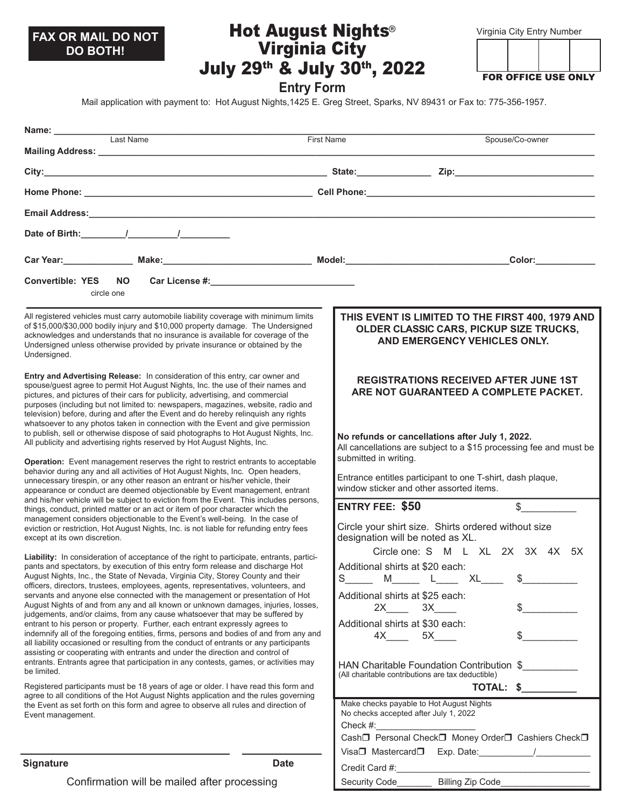# **DO BOTH!**

## Virginia City July 29th & July 30th, 2022 **FAX OR MAIL DO NOT <b>FRACE AUGUST Nights** With the University Rumber City Entry Number

FOR OFFICE USE ONLY

**Entry Form**

Mail application with payment to: Hot August Nights,1425 E. Greg Street, Sparks, NV 89431 or Fax to: 775-356-1957.

| Mailing Address: National Address: National Address: National Address: National Address: National Address: National Address: National Address: National Address: National Address: National Address: National Address: Nationa                                                                                                                                                                                                                                                                                                                                                                                                                                                                                                                                                                                                                                                                                                                                                                                                       | <b>First Name</b><br>Spouse/Co-owner                                                                                                           |
|--------------------------------------------------------------------------------------------------------------------------------------------------------------------------------------------------------------------------------------------------------------------------------------------------------------------------------------------------------------------------------------------------------------------------------------------------------------------------------------------------------------------------------------------------------------------------------------------------------------------------------------------------------------------------------------------------------------------------------------------------------------------------------------------------------------------------------------------------------------------------------------------------------------------------------------------------------------------------------------------------------------------------------------|------------------------------------------------------------------------------------------------------------------------------------------------|
|                                                                                                                                                                                                                                                                                                                                                                                                                                                                                                                                                                                                                                                                                                                                                                                                                                                                                                                                                                                                                                      |                                                                                                                                                |
|                                                                                                                                                                                                                                                                                                                                                                                                                                                                                                                                                                                                                                                                                                                                                                                                                                                                                                                                                                                                                                      |                                                                                                                                                |
|                                                                                                                                                                                                                                                                                                                                                                                                                                                                                                                                                                                                                                                                                                                                                                                                                                                                                                                                                                                                                                      |                                                                                                                                                |
|                                                                                                                                                                                                                                                                                                                                                                                                                                                                                                                                                                                                                                                                                                                                                                                                                                                                                                                                                                                                                                      |                                                                                                                                                |
|                                                                                                                                                                                                                                                                                                                                                                                                                                                                                                                                                                                                                                                                                                                                                                                                                                                                                                                                                                                                                                      |                                                                                                                                                |
| Car Year: Make: Make: Make: Model: Model: Model:                                                                                                                                                                                                                                                                                                                                                                                                                                                                                                                                                                                                                                                                                                                                                                                                                                                                                                                                                                                     | Color:____________                                                                                                                             |
| <b>Convertible: YES</b><br>NO.                                                                                                                                                                                                                                                                                                                                                                                                                                                                                                                                                                                                                                                                                                                                                                                                                                                                                                                                                                                                       |                                                                                                                                                |
| circle one                                                                                                                                                                                                                                                                                                                                                                                                                                                                                                                                                                                                                                                                                                                                                                                                                                                                                                                                                                                                                           |                                                                                                                                                |
| All registered vehicles must carry automobile liability coverage with minimum limits<br>of \$15,000/\$30,000 bodily injury and \$10,000 property damage. The Undersigned<br>acknowledges and understands that no insurance is available for coverage of the<br>Undersigned unless otherwise provided by private insurance or obtained by the<br>Undersigned.                                                                                                                                                                                                                                                                                                                                                                                                                                                                                                                                                                                                                                                                         | THIS EVENT IS LIMITED TO THE FIRST 400, 1979 AND<br>OLDER CLASSIC CARS, PICKUP SIZE TRUCKS,<br>AND EMERGENCY VEHICLES ONLY.                    |
| Entry and Advertising Release: In consideration of this entry, car owner and<br>spouse/guest agree to permit Hot August Nights, Inc. the use of their names and<br>pictures, and pictures of their cars for publicity, advertising, and commercial<br>purposes (including but not limited to: newspapers, magazines, website, radio and<br>television) before, during and after the Event and do hereby relinquish any rights<br>whatsoever to any photos taken in connection with the Event and give permission<br>to publish, sell or otherwise dispose of said photographs to Hot August Nights, Inc.<br>All publicity and advertising rights reserved by Hot August Nights, Inc.<br><b>Operation:</b> Event management reserves the right to restrict entrants to acceptable<br>behavior during any and all activities of Hot August Nights, Inc. Open headers,<br>unnecessary tirespin, or any other reason an entrant or his/her vehicle, their<br>appearance or conduct are deemed objectionable by Event management, entrant | <b>REGISTRATIONS RECEIVED AFTER JUNE 1ST</b><br>ARE NOT GUARANTEED A COMPLETE PACKET.                                                          |
|                                                                                                                                                                                                                                                                                                                                                                                                                                                                                                                                                                                                                                                                                                                                                                                                                                                                                                                                                                                                                                      | No refunds or cancellations after July 1, 2022.<br>All cancellations are subject to a \$15 processing fee and must be<br>submitted in writing. |
|                                                                                                                                                                                                                                                                                                                                                                                                                                                                                                                                                                                                                                                                                                                                                                                                                                                                                                                                                                                                                                      | Entrance entitles participant to one T-shirt, dash plaque,<br>window sticker and other assorted items.                                         |
| and his/her vehicle will be subject to eviction from the Event. This includes persons,<br>things, conduct, printed matter or an act or item of poor character which the                                                                                                                                                                                                                                                                                                                                                                                                                                                                                                                                                                                                                                                                                                                                                                                                                                                              | $\mathfrak s$<br><b>ENTRY FEE: \$50</b>                                                                                                        |
| management considers objectionable to the Event's well-being. In the case of<br>eviction or restriction, Hot August Nights, Inc. is not liable for refunding entry fees<br>except at its own discretion.                                                                                                                                                                                                                                                                                                                                                                                                                                                                                                                                                                                                                                                                                                                                                                                                                             | Circle your shirt size. Shirts ordered without size<br>designation will be noted as XL.                                                        |
| Liability: In consideration of acceptance of the right to participate, entrants, partici-<br>pants and spectators, by execution of this entry form release and discharge Hot<br>August Nights, Inc., the State of Nevada, Virginia City, Storey County and their<br>officers, directors, trustees, employees, agents, representatives, volunteers, and<br>servants and anyone else connected with the management or presentation of Hot                                                                                                                                                                                                                                                                                                                                                                                                                                                                                                                                                                                              | Circle one: S M L XL 2X 3X 4X 5X                                                                                                               |
|                                                                                                                                                                                                                                                                                                                                                                                                                                                                                                                                                                                                                                                                                                                                                                                                                                                                                                                                                                                                                                      | Additional shirts at \$20 each:<br>S<br>$M_{\overline{}}$<br>XL                                                                                |
|                                                                                                                                                                                                                                                                                                                                                                                                                                                                                                                                                                                                                                                                                                                                                                                                                                                                                                                                                                                                                                      | Additional shirts at \$25 each:                                                                                                                |
| August Nights of and from any and all known or unknown damages, injuries, losses,<br>judgements, and/or claims, from any cause whatsoever that may be suffered by                                                                                                                                                                                                                                                                                                                                                                                                                                                                                                                                                                                                                                                                                                                                                                                                                                                                    | 3X<br>2X                                                                                                                                       |
| entrant to his person or property. Further, each entrant expressly agrees to<br>indemnify all of the foregoing entities, firms, persons and bodies of and from any and                                                                                                                                                                                                                                                                                                                                                                                                                                                                                                                                                                                                                                                                                                                                                                                                                                                               | Additional shirts at \$30 each:                                                                                                                |
| all liability occasioned or resulting from the conduct of entrants or any participants                                                                                                                                                                                                                                                                                                                                                                                                                                                                                                                                                                                                                                                                                                                                                                                                                                                                                                                                               | 4X 5X                                                                                                                                          |
| assisting or cooperating with entrants and under the direction and control of<br>entrants. Entrants agree that participation in any contests, games, or activities may<br>be limited.                                                                                                                                                                                                                                                                                                                                                                                                                                                                                                                                                                                                                                                                                                                                                                                                                                                | HAN Charitable Foundation Contribution \$<br>(All charitable contributions are tax deductible)                                                 |
| Registered participants must be 18 years of age or older. I have read this form and<br>agree to all conditions of the Hot August Nights application and the rules governing<br>the Event as set forth on this form and agree to observe all rules and direction of<br>Event management.                                                                                                                                                                                                                                                                                                                                                                                                                                                                                                                                                                                                                                                                                                                                              |                                                                                                                                                |
|                                                                                                                                                                                                                                                                                                                                                                                                                                                                                                                                                                                                                                                                                                                                                                                                                                                                                                                                                                                                                                      | Make checks payable to Hot August Nights<br>No checks accepted after July 1, 2022<br>Check #: <u>________________</u>                          |
|                                                                                                                                                                                                                                                                                                                                                                                                                                                                                                                                                                                                                                                                                                                                                                                                                                                                                                                                                                                                                                      | Cash <sup>1</sup> Personal Check <sup>1</sup> Money Order <sup>1</sup> Cashiers Check <sup>1</sup>                                             |
| <b>Signature</b><br><b>Date</b>                                                                                                                                                                                                                                                                                                                                                                                                                                                                                                                                                                                                                                                                                                                                                                                                                                                                                                                                                                                                      | Visa $\Box$ Mastercard $\Box$ Exp. Date: $\_\_\_\_\_\_\_$<br>$C$ rodit $C$ ard # $\cdot$                                                       |

Credit Card #:

Security Code\_\_\_\_\_\_\_ Billing Zip Code\_\_\_\_\_\_\_\_\_\_\_\_\_\_\_\_\_\_

Confirmation will be mailed after processing